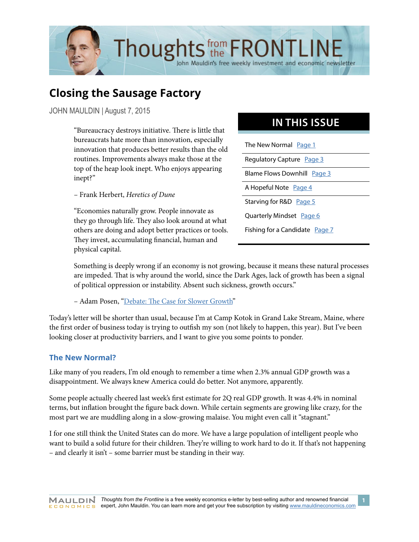

# **Closing the Sausage Factory**

JOHN MAULDIN | August 7, 2015

"Bureaucracy destroys initiative. There is little that bureaucrats hate more than innovation, especially innovation that produces better results than the old routines. Improvements always make those at the top of the heap look inept. Who enjoys appearing inept?"

– Frank Herbert, *Heretics of Dune*

"Economies naturally grow. People innovate as they go through life. They also look around at what others are doing and adopt better practices or tools. They invest, accumulating financial, human and physical capital.

## **IN THIS ISSUE**

The New Normal [Page 1](#page-0-0) Regulatory Capture [Page 3](#page-2-0) Blame Flows Downhill [Page 3](#page-2-1) A Hopeful Note [Page 4](#page-3-0) Starving for R&D [Page 5](#page-4-0) Quarterly Mindset [Page 6](#page-5-0) Fishing for a Candidate [Page 7](#page-6-0)

Something is deeply wrong if an economy is not growing, because it means these natural processes are impeded. That is why around the world, since the Dark Ages, lack of growth has been a signal of political oppression or instability. Absent such sickness, growth occurs."

– Adam Posen, ["Debate: The Case for Slower Growth"](http://worldif.economist.com/article/9/debate-the-case-for-slower-growth)

Today's letter will be shorter than usual, because I'm at Camp Kotok in Grand Lake Stream, Maine, where the first order of business today is trying to outfish my son (not likely to happen, this year). But I've been looking closer at productivity barriers, and I want to give you some points to ponder.

#### <span id="page-0-0"></span>**The New Normal?**

Like many of you readers, I'm old enough to remember a time when 2.3% annual GDP growth was a disappointment. We always knew America could do better. Not anymore, apparently.

Some people actually cheered last week's first estimate for 2Q real GDP growth. It was 4.4% in nominal terms, but inflation brought the figure back down. While certain segments are growing like crazy, for the most part we are muddling along in a slow-growing malaise. You might even call it "stagnant."

I for one still think the United States can do more. We have a large population of intelligent people who want to build a solid future for their children. They're willing to work hard to do it. If that's not happening – and clearly it isn't – some barrier must be standing in their way.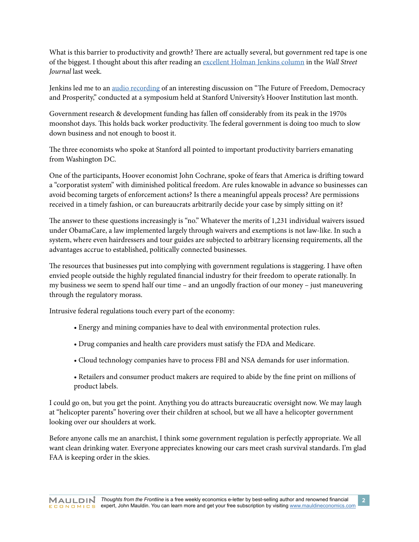What is this barrier to productivity and growth? There are actually several, but government red tape is one of the biggest. I thought about this after reading an [excellent Holman Jenkins column](http://www.wsj.com/articles/the-new-slow-growth-normal-and-where-it-leads-1438383072) in the *Wall Street Journal* last week.

Jenkins led me to an [audio recording](http://www.econtalk.org/archives/2015/07/lee_ohanian_arn.html) of an interesting discussion on "The Future of Freedom, Democracy and Prosperity," conducted at a symposium held at Stanford University's Hoover Institution last month.

Government research & development funding has fallen off considerably from its peak in the 1970s moonshot days. This holds back worker productivity. The federal government is doing too much to slow down business and not enough to boost it.

The three economists who spoke at Stanford all pointed to important productivity barriers emanating from Washington DC.

One of the participants, Hoover economist John Cochrane, spoke of fears that America is drifting toward a "corporatist system" with diminished political freedom. Are rules knowable in advance so businesses can avoid becoming targets of enforcement actions? Is there a meaningful appeals process? Are permissions received in a timely fashion, or can bureaucrats arbitrarily decide your case by simply sitting on it?

The answer to these questions increasingly is "no." Whatever the merits of 1,231 individual waivers issued under ObamaCare, a law implemented largely through waivers and exemptions is not law-like. In such a system, where even hairdressers and tour guides are subjected to arbitrary licensing requirements, all the advantages accrue to established, politically connected businesses.

The resources that businesses put into complying with government regulations is staggering. I have often envied people outside the highly regulated financial industry for their freedom to operate rationally. In my business we seem to spend half our time – and an ungodly fraction of our money – just maneuvering through the regulatory morass.

Intrusive federal regulations touch every part of the economy:

- Energy and mining companies have to deal with environmental protection rules.
- Drug companies and health care providers must satisfy the FDA and Medicare.
- Cloud technology companies have to process FBI and NSA demands for user information.
- Retailers and consumer product makers are required to abide by the fine print on millions of product labels.

I could go on, but you get the point. Anything you do attracts bureaucratic oversight now. We may laugh at "helicopter parents" hovering over their children at school, but we all have a helicopter government looking over our shoulders at work.

Before anyone calls me an anarchist, I think some government regulation is perfectly appropriate. We all want clean drinking water. Everyone appreciates knowing our cars meet crash survival standards. I'm glad FAA is keeping order in the skies.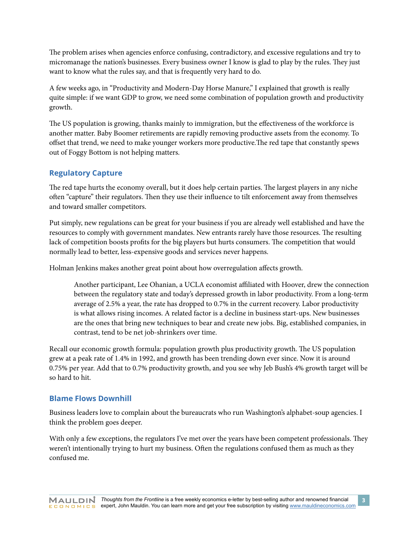The problem arises when agencies enforce confusing, contradictory, and excessive regulations and try to micromanage the nation's businesses. Every business owner I know is glad to play by the rules. They just want to know what the rules say, and that is frequently very hard to do.

A few weeks ago, in "Productivity and Modern-Day Horse Manure," I explained that growth is really quite simple: if we want GDP to grow, we need some combination of population growth and productivity growth.

The US population is growing, thanks mainly to immigration, but the effectiveness of the workforce is another matter. Baby Boomer retirements are rapidly removing productive assets from the economy. To offset that trend, we need to make younger workers more productive.The red tape that constantly spews out of Foggy Bottom is not helping matters.

#### <span id="page-2-0"></span>**Regulatory Capture**

The red tape hurts the economy overall, but it does help certain parties. The largest players in any niche often "capture" their regulators. Then they use their influence to tilt enforcement away from themselves and toward smaller competitors.

Put simply, new regulations can be great for your business if you are already well established and have the resources to comply with government mandates. New entrants rarely have those resources. The resulting lack of competition boosts profits for the big players but hurts consumers. The competition that would normally lead to better, less-expensive goods and services never happens.

Holman Jenkins makes another great point about how overregulation affects growth.

Another participant, Lee Ohanian, a UCLA economist affiliated with Hoover, drew the connection between the regulatory state and today's depressed growth in labor productivity. From a long-term average of 2.5% a year, the rate has dropped to 0.7% in the current recovery. Labor productivity is what allows rising incomes. A related factor is a decline in business start-ups. New businesses are the ones that bring new techniques to bear and create new jobs. Big, established companies, in contrast, tend to be net job-shrinkers over time.

Recall our economic growth formula: population growth plus productivity growth. The US population grew at a peak rate of 1.4% in 1992, and growth has been trending down ever since. Now it is around 0.75% per year. Add that to 0.7% productivity growth, and you see why Jeb Bush's 4% growth target will be so hard to hit.

#### <span id="page-2-1"></span>**Blame Flows Downhill**

Business leaders love to complain about the bureaucrats who run Washington's alphabet-soup agencies. I think the problem goes deeper.

With only a few exceptions, the regulators I've met over the years have been competent professionals. They weren't intentionally trying to hurt my business. Often the regulations confused them as much as they confused me.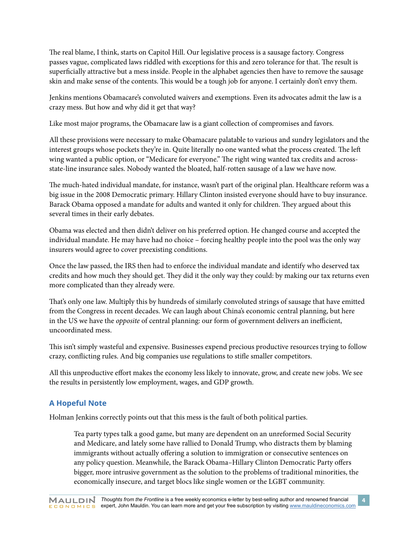The real blame, I think, starts on Capitol Hill. Our legislative process is a sausage factory. Congress passes vague, complicated laws riddled with exceptions for this and zero tolerance for that. The result is superficially attractive but a mess inside. People in the alphabet agencies then have to remove the sausage skin and make sense of the contents. This would be a tough job for anyone. I certainly don't envy them.

Jenkins mentions Obamacare's convoluted waivers and exemptions. Even its advocates admit the law is a crazy mess. But how and why did it get that way?

Like most major programs, the Obamacare law is a giant collection of compromises and favors.

All these provisions were necessary to make Obamacare palatable to various and sundry legislators and the interest groups whose pockets they're in. Quite literally no one wanted what the process created. The left wing wanted a public option, or "Medicare for everyone." The right wing wanted tax credits and acrossstate-line insurance sales. Nobody wanted the bloated, half-rotten sausage of a law we have now.

The much-hated individual mandate, for instance, wasn't part of the original plan. Healthcare reform was a big issue in the 2008 Democratic primary. Hillary Clinton insisted everyone should have to buy insurance. Barack Obama opposed a mandate for adults and wanted it only for children. They argued about this several times in their early debates.

Obama was elected and then didn't deliver on his preferred option. He changed course and accepted the individual mandate. He may have had no choice – forcing healthy people into the pool was the only way insurers would agree to cover preexisting conditions.

Once the law passed, the IRS then had to enforce the individual mandate and identify who deserved tax credits and how much they should get. They did it the only way they could: by making our tax returns even more complicated than they already were.

That's only one law. Multiply this by hundreds of similarly convoluted strings of sausage that have emitted from the Congress in recent decades. We can laugh about China's economic central planning, but here in the US we have the *opposite* of central planning: our form of government delivers an inefficient, uncoordinated mess.

This isn't simply wasteful and expensive. Businesses expend precious productive resources trying to follow crazy, conflicting rules. And big companies use regulations to stifle smaller competitors.

All this unproductive effort makes the economy less likely to innovate, grow, and create new jobs. We see the results in persistently low employment, wages, and GDP growth.

## <span id="page-3-0"></span>**A Hopeful Note**

Holman Jenkins correctly points out that this mess is the fault of both political parties.

Tea party types talk a good game, but many are dependent on an unreformed Social Security and Medicare, and lately some have rallied to Donald Trump, who distracts them by blaming immigrants without actually offering a solution to immigration or consecutive sentences on any policy question. Meanwhile, the Barack Obama–Hillary Clinton Democratic Party offers bigger, more intrusive government as the solution to the problems of traditional minorities, the economically insecure, and target blocs like single women or the LGBT community.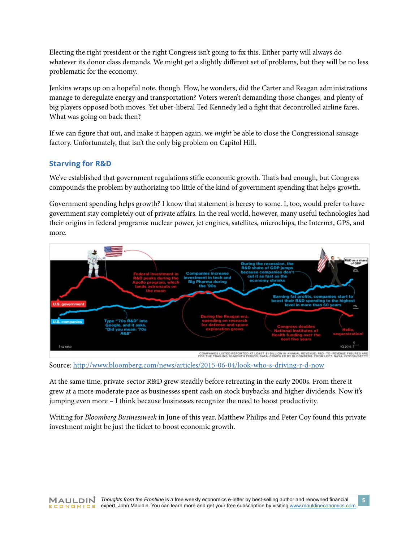Electing the right president or the right Congress isn't going to fix this. Either party will always do whatever its donor class demands. We might get a slightly different set of problems, but they will be no less problematic for the economy.

Jenkins wraps up on a hopeful note, though. How, he wonders, did the Carter and Reagan administrations manage to deregulate energy and transportation? Voters weren't demanding those changes, and plenty of big players opposed both moves. Yet uber-liberal Ted Kennedy led a fight that decontrolled airline fares. What was going on back then?

If we can figure that out, and make it happen again, we *might* be able to close the Congressional sausage factory. Unfortunately, that isn't the only big problem on Capitol Hill.

### <span id="page-4-0"></span>**Starving for R&D**

We've established that government regulations stifle economic growth. That's bad enough, but Congress compounds the problem by authorizing too little of the kind of government spending that helps growth.

Government spending helps growth? I know that statement is heresy to some. I, too, would prefer to have government stay completely out of private affairs. In the real world, however, many useful technologies had their origins in federal programs: nuclear power, jet engines, satellites, microchips, the Internet, GPS, and more.



Source: <http://www.bloomberg.com/news/articles/2015-06-04/look-who-s-driving-r-d-now>

At the same time, private-sector R&D grew steadily before retreating in the early 2000s. From there it grew at a more moderate pace as businesses spent cash on stock buybacks and higher dividends. Now it's jumping even more – I think because businesses recognize the need to boost productivity.

Writing for *Bloomberg Businessweek* in June of this year, Matthew Philips and Peter Coy found this private investment might be just the ticket to boost economic growth.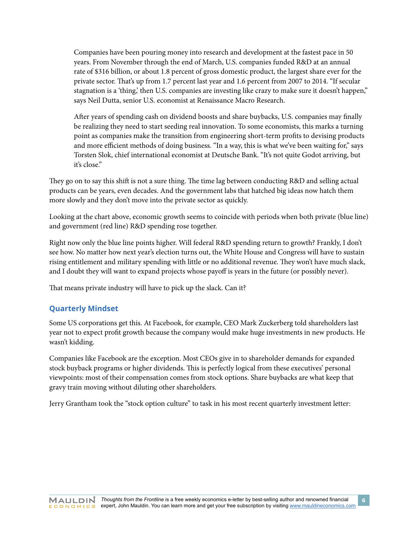Companies have been pouring money into research and development at the fastest pace in 50 years. From November through the end of March, U.S. companies funded R&D at an annual rate of \$316 billion, or about 1.8 percent of gross domestic product, the largest share ever for the private sector. That's up from 1.7 percent last year and 1.6 percent from 2007 to 2014. "If secular stagnation is a 'thing,' then U.S. companies are investing like crazy to make sure it doesn't happen," says Neil Dutta, senior U.S. economist at Renaissance Macro Research.

After years of spending cash on dividend boosts and share buybacks, U.S. companies may finally be realizing they need to start seeding real innovation. To some economists, this marks a turning point as companies make the transition from engineering short-term profits to devising products and more efficient methods of doing business. "In a way, this is what we've been waiting for," says Torsten Slok, chief international economist at Deutsche Bank. "It's not quite Godot arriving, but it's close."

They go on to say this shift is not a sure thing. The time lag between conducting R&D and selling actual products can be years, even decades. And the government labs that hatched big ideas now hatch them more slowly and they don't move into the private sector as quickly.

Looking at the chart above, economic growth seems to coincide with periods when both private (blue line) and government (red line) R&D spending rose together.

Right now only the blue line points higher. Will federal R&D spending return to growth? Frankly, I don't see how. No matter how next year's election turns out, the White House and Congress will have to sustain rising entitlement and military spending with little or no additional revenue. They won't have much slack, and I doubt they will want to expand projects whose payoff is years in the future (or possibly never).

That means private industry will have to pick up the slack. Can it?

#### <span id="page-5-0"></span>**Quarterly Mindset**

Some US corporations get this. At Facebook, for example, CEO Mark Zuckerberg told shareholders last year not to expect profit growth because the company would make huge investments in new products. He wasn't kidding.

Companies like Facebook are the exception. Most CEOs give in to shareholder demands for expanded stock buyback programs or higher dividends. This is perfectly logical from these executives' personal viewpoints: most of their compensation comes from stock options. Share buybacks are what keep that gravy train moving without diluting other shareholders.

Jerry Grantham took the "stock option culture" to task in his most recent quarterly investment letter: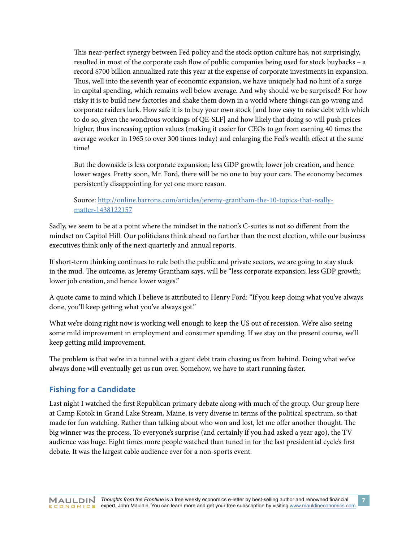This near-perfect synergy between Fed policy and the stock option culture has, not surprisingly, resulted in most of the corporate cash flow of public companies being used for stock buybacks – a record \$700 billion annualized rate this year at the expense of corporate investments in expansion. Thus, well into the seventh year of economic expansion, we have uniquely had no hint of a surge in capital spending, which remains well below average. And why should we be surprised? For how risky it is to build new factories and shake them down in a world where things can go wrong and corporate raiders lurk. How safe it is to buy your own stock [and how easy to raise debt with which to do so, given the wondrous workings of QE-SLF] and how likely that doing so will push prices higher, thus increasing option values (making it easier for CEOs to go from earning 40 times the average worker in 1965 to over 300 times today) and enlarging the Fed's wealth effect at the same time!

But the downside is less corporate expansion; less GDP growth; lower job creation, and hence lower wages. Pretty soon, Mr. Ford, there will be no one to buy your cars. The economy becomes persistently disappointing for yet one more reason.

Source: [http://online.barrons.com/articles/jeremy-grantham-the-10-topics-that-really](http://online.barrons.com/articles/jeremy-grantham-the-10-topics-that-really-matter-1438122157)[matter-1438122157](http://online.barrons.com/articles/jeremy-grantham-the-10-topics-that-really-matter-1438122157)

Sadly, we seem to be at a point where the mindset in the nation's C-suites is not so different from the mindset on Capitol Hill. Our politicians think ahead no further than the next election, while our business executives think only of the next quarterly and annual reports.

If short-term thinking continues to rule both the public and private sectors, we are going to stay stuck in the mud. The outcome, as Jeremy Grantham says, will be "less corporate expansion; less GDP growth; lower job creation, and hence lower wages."

A quote came to mind which I believe is attributed to Henry Ford: "If you keep doing what you've always done, you'll keep getting what you've always got."

What we're doing right now is working well enough to keep the US out of recession. We're also seeing some mild improvement in employment and consumer spending. If we stay on the present course, we'll keep getting mild improvement.

The problem is that we're in a tunnel with a giant debt train chasing us from behind. Doing what we've always done will eventually get us run over. Somehow, we have to start running faster.

#### <span id="page-6-0"></span>**Fishing for a Candidate**

Last night I watched the first Republican primary debate along with much of the group. Our group here at Camp Kotok in Grand Lake Stream, Maine, is very diverse in terms of the political spectrum, so that made for fun watching. Rather than talking about who won and lost, let me offer another thought. The big winner was the process. To everyone's surprise (and certainly if you had asked a year ago), the TV audience was huge. Eight times more people watched than tuned in for the last presidential cycle's first debate. It was the largest cable audience ever for a non-sports event.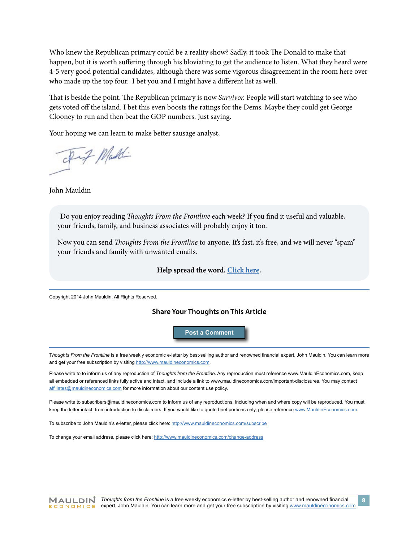Who knew the Republican primary could be a reality show? Sadly, it took The Donald to make that happen, but it is worth suffering through his bloviating to get the audience to listen. What they heard were 4-5 very good potential candidates, although there was some vigorous disagreement in the room here over who made up the top four. I bet you and I might have a different list as well.

That is beside the point. The Republican primary is now *Survivor.* People will start watching to see who gets voted off the island. I bet this even boosts the ratings for the Dems. Maybe they could get George Clooney to run and then beat the GOP numbers. Just saying.

Your hoping we can learn to make better sausage analyst,

Fif Maddi

John Mauldin

Do you enjoy reading *Thoughts From the Frontline* each week? If you find it useful and valuable, your friends, family, and business associates will probably enjoy it too.

Now you can send *Thoughts From the Frontline* to anyone. It's fast, it's free, and we will never "spam" your friends and family with unwanted emails.

#### **Help spread the word. [Click here.](http://www.mauldineconomics.com/landing/friend-share-thoughts-from-the-frontline)**

Copyright 2014 John Mauldin. All Rights Reserved.

#### **Share Your Thoughts on This Article**

**[Post a Comment](http://www.mauldineconomics.com/frontlinethoughts/closing-the-sausage-factory)**

T*houghts From the Frontline* is a free weekly economic e-letter by best-selling author and renowned financial expert, John Mauldin. You can learn more and get your free subscription by visiting <http://www.mauldineconomics.com>.

Please write to to inform us of any reproduction of *Thoughts from the Frontline*. Any reproduction must reference www.MauldinEconomics.com, keep all embedded or referenced links fully active and intact, and include a link to www.mauldineconomics.com/important-disclosures. You may contact [affiliates@mauldineconomics.com](mailto:affiliates@mauldineconomics.com) for more information about our content use policy.

Please write to subscribers@mauldineconomics.com to inform us of any reproductions, including when and where copy will be reproduced. You must keep the letter intact, from introduction to disclaimers. If you would like to quote brief portions only, please reference [www.MauldinEconomics.com](http://www.MauldinEconomics.com).

To subscribe to John Mauldin's e-letter, please click here: <http://www.mauldineconomics.com/subscribe>

To change your email address, please click here:<http://www.mauldineconomics.com/change-address>

**8**